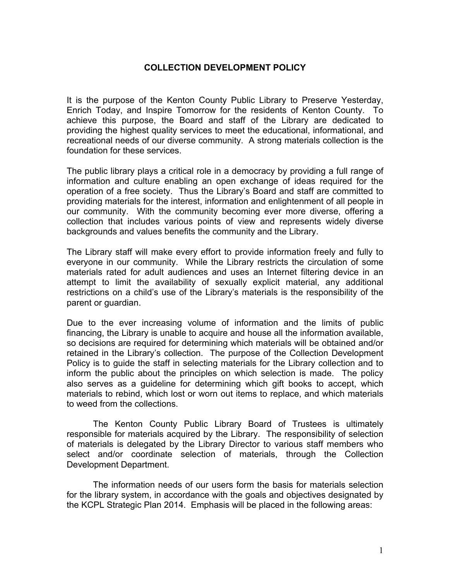## **COLLECTION DEVELOPMENT POLICY**

It is the purpose of the Kenton County Public Library to Preserve Yesterday, Enrich Today, and Inspire Tomorrow for the residents of Kenton County. To achieve this purpose, the Board and staff of the Library are dedicated to providing the highest quality services to meet the educational, informational, and recreational needs of our diverse community. A strong materials collection is the foundation for these services.

The public library plays a critical role in a democracy by providing a full range of information and culture enabling an open exchange of ideas required for the operation of a free society. Thus the Library's Board and staff are committed to providing materials for the interest, information and enlightenment of all people in our community. With the community becoming ever more diverse, offering a collection that includes various points of view and represents widely diverse backgrounds and values benefits the community and the Library.

The Library staff will make every effort to provide information freely and fully to everyone in our community. While the Library restricts the circulation of some materials rated for adult audiences and uses an Internet filtering device in an attempt to limit the availability of sexually explicit material, any additional restrictions on a child's use of the Library's materials is the responsibility of the parent or guardian.

Due to the ever increasing volume of information and the limits of public financing, the Library is unable to acquire and house all the information available, so decisions are required for determining which materials will be obtained and/or retained in the Library's collection. The purpose of the Collection Development Policy is to guide the staff in selecting materials for the Library collection and to inform the public about the principles on which selection is made. The policy also serves as a guideline for determining which gift books to accept, which materials to rebind, which lost or worn out items to replace, and which materials to weed from the collections.

The Kenton County Public Library Board of Trustees is ultimately responsible for materials acquired by the Library. The responsibility of selection of materials is delegated by the Library Director to various staff members who select and/or coordinate selection of materials, through the Collection Development Department.

The information needs of our users form the basis for materials selection for the library system, in accordance with the goals and objectives designated by the KCPL Strategic Plan 2014. Emphasis will be placed in the following areas: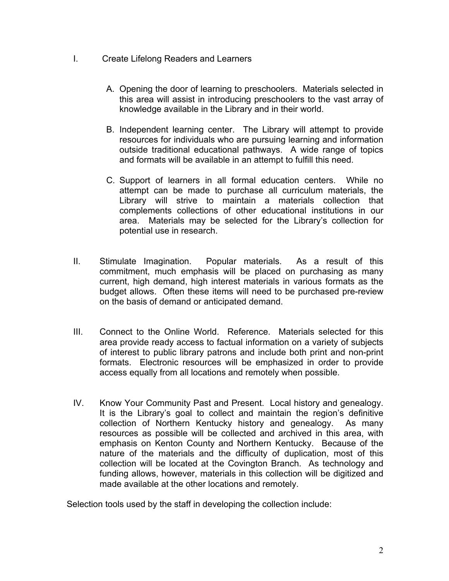- I. Create Lifelong Readers and Learners
	- A. Opening the door of learning to preschoolers. Materials selected in this area will assist in introducing preschoolers to the vast array of knowledge available in the Library and in their world.
	- B. Independent learning center. The Library will attempt to provide resources for individuals who are pursuing learning and information outside traditional educational pathways. A wide range of topics and formats will be available in an attempt to fulfill this need.
	- C. Support of learners in all formal education centers. While no attempt can be made to purchase all curriculum materials, the Library will strive to maintain a materials collection that complements collections of other educational institutions in our area. Materials may be selected for the Library's collection for potential use in research.
- II. Stimulate Imagination. Popular materials. As a result of this commitment, much emphasis will be placed on purchasing as many current, high demand, high interest materials in various formats as the budget allows. Often these items will need to be purchased pre-review on the basis of demand or anticipated demand.
- III. Connect to the Online World. Reference. Materials selected for this area provide ready access to factual information on a variety of subjects of interest to public library patrons and include both print and non-print formats. Electronic resources will be emphasized in order to provide access equally from all locations and remotely when possible.
- IV. Know Your Community Past and Present. Local history and genealogy. It is the Library's goal to collect and maintain the region's definitive collection of Northern Kentucky history and genealogy. As many resources as possible will be collected and archived in this area, with emphasis on Kenton County and Northern Kentucky. Because of the nature of the materials and the difficulty of duplication, most of this collection will be located at the Covington Branch. As technology and funding allows, however, materials in this collection will be digitized and made available at the other locations and remotely.

Selection tools used by the staff in developing the collection include: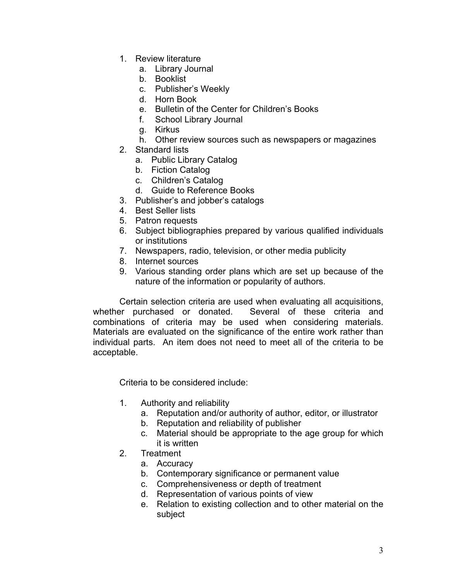- 1. Review literature
	- a. Library Journal
	- b. Booklist
	- c. Publisher's Weekly
	- d. Horn Book
	- e. Bulletin of the Center for Children's Books
	- f. School Library Journal
	- g. Kirkus
	- h. Other review sources such as newspapers or magazines
- 2. Standard lists
	- a. Public Library Catalog
	- b. Fiction Catalog
	- c. Children's Catalog
	- d. Guide to Reference Books
- 3. Publisher's and jobber's catalogs
- 4. Best Seller lists
- 5. Patron requests
- 6. Subject bibliographies prepared by various qualified individuals or institutions
- 7. Newspapers, radio, television, or other media publicity
- 8. Internet sources
- 9. Various standing order plans which are set up because of the nature of the information or popularity of authors.

Certain selection criteria are used when evaluating all acquisitions, whether purchased or donated. Several of these criteria and combinations of criteria may be used when considering materials. Materials are evaluated on the significance of the entire work rather than individual parts. An item does not need to meet all of the criteria to be acceptable.

Criteria to be considered include:

- 1. Authority and reliability
	- a. Reputation and/or authority of author, editor, or illustrator
	- b. Reputation and reliability of publisher
	- c. Material should be appropriate to the age group for which it is written
- 2. Treatment
	- a. Accuracy
	- b. Contemporary significance or permanent value
	- c. Comprehensiveness or depth of treatment
	- d. Representation of various points of view
	- e. Relation to existing collection and to other material on the subject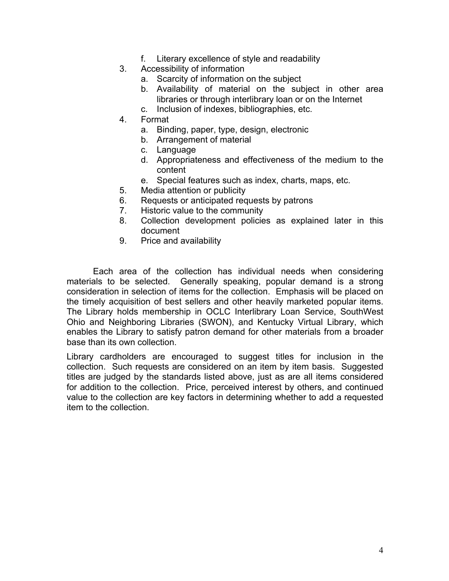- f. Literary excellence of style and readability
- 3. Accessibility of information
	- a. Scarcity of information on the subject
	- b. Availability of material on the subject in other area libraries or through interlibrary loan or on the Internet
	- c. Inclusion of indexes, bibliographies, etc.
- 4. Format
	- a. Binding, paper, type, design, electronic
	- b. Arrangement of material
	- c. Language
	- d. Appropriateness and effectiveness of the medium to the content
	- e. Special features such as index, charts, maps, etc.
- 5. Media attention or publicity
- 6. Requests or anticipated requests by patrons
- 7. Historic value to the community
- 8. Collection development policies as explained later in this document
- 9. Price and availability

Each area of the collection has individual needs when considering materials to be selected. Generally speaking, popular demand is a strong consideration in selection of items for the collection. Emphasis will be placed on the timely acquisition of best sellers and other heavily marketed popular items. The Library holds membership in OCLC Interlibrary Loan Service, SouthWest Ohio and Neighboring Libraries (SWON), and Kentucky Virtual Library, which enables the Library to satisfy patron demand for other materials from a broader base than its own collection.

Library cardholders are encouraged to suggest titles for inclusion in the collection. Such requests are considered on an item by item basis. Suggested titles are judged by the standards listed above, just as are all items considered for addition to the collection. Price, perceived interest by others, and continued value to the collection are key factors in determining whether to add a requested item to the collection.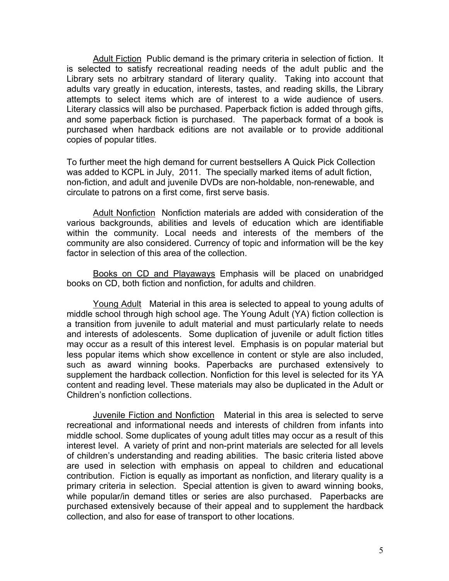Adult Fiction Public demand is the primary criteria in selection of fiction. It is selected to satisfy recreational reading needs of the adult public and the Library sets no arbitrary standard of literary quality. Taking into account that adults vary greatly in education, interests, tastes, and reading skills, the Library attempts to select items which are of interest to a wide audience of users. Literary classics will also be purchased. Paperback fiction is added through gifts, and some paperback fiction is purchased. The paperback format of a book is purchased when hardback editions are not available or to provide additional copies of popular titles.

To further meet the high demand for current bestsellers A Quick Pick Collection was added to KCPL in July, 2011. The specially marked items of adult fiction, non-fiction, and adult and juvenile DVDs are non-holdable, non-renewable, and circulate to patrons on a first come, first serve basis.

Adult Nonfiction Nonfiction materials are added with consideration of the various backgrounds, abilities and levels of education which are identifiable within the community. Local needs and interests of the members of the community are also considered. Currency of topic and information will be the key factor in selection of this area of the collection.

Books on CD and Playaways Emphasis will be placed on unabridged books on CD, both fiction and nonfiction, for adults and children.

Young Adult Material in this area is selected to appeal to young adults of middle school through high school age. The Young Adult (YA) fiction collection is a transition from juvenile to adult material and must particularly relate to needs and interests of adolescents. Some duplication of juvenile or adult fiction titles may occur as a result of this interest level. Emphasis is on popular material but less popular items which show excellence in content or style are also included, such as award winning books. Paperbacks are purchased extensively to supplement the hardback collection. Nonfiction for this level is selected for its YA content and reading level. These materials may also be duplicated in the Adult or Children's nonfiction collections.

Juvenile Fiction and Nonfiction Material in this area is selected to serve recreational and informational needs and interests of children from infants into middle school. Some duplicates of young adult titles may occur as a result of this interest level. A variety of print and non-print materials are selected for all levels of children's understanding and reading abilities. The basic criteria listed above are used in selection with emphasis on appeal to children and educational contribution. Fiction is equally as important as nonfiction, and literary quality is a primary criteria in selection. Special attention is given to award winning books, while popular/in demand titles or series are also purchased. Paperbacks are purchased extensively because of their appeal and to supplement the hardback collection, and also for ease of transport to other locations.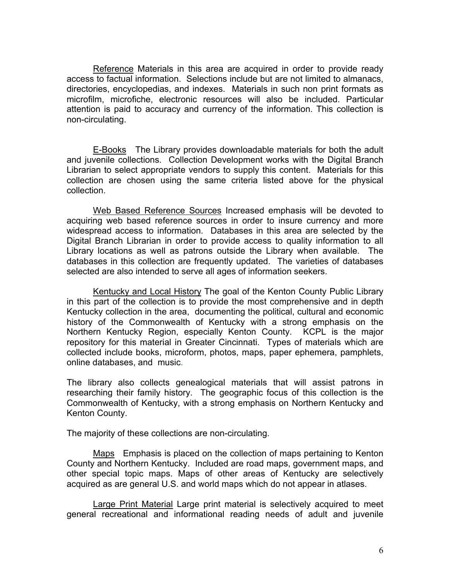Reference Materials in this area are acquired in order to provide ready access to factual information. Selections include but are not limited to almanacs, directories, encyclopedias, and indexes. Materials in such non print formats as microfilm, microfiche, electronic resources will also be included. Particular attention is paid to accuracy and currency of the information. This collection is non-circulating.

E-Books The Library provides downloadable materials for both the adult and juvenile collections. Collection Development works with the Digital Branch Librarian to select appropriate vendors to supply this content. Materials for this collection are chosen using the same criteria listed above for the physical collection.

Web Based Reference Sources Increased emphasis will be devoted to acquiring web based reference sources in order to insure currency and more widespread access to information. Databases in this area are selected by the Digital Branch Librarian in order to provide access to quality information to all Library locations as well as patrons outside the Library when available. The databases in this collection are frequently updated. The varieties of databases selected are also intended to serve all ages of information seekers.

Kentucky and Local History The goal of the Kenton County Public Library in this part of the collection is to provide the most comprehensive and in depth Kentucky collection in the area, documenting the political, cultural and economic history of the Commonwealth of Kentucky with a strong emphasis on the Northern Kentucky Region, especially Kenton County. KCPL is the major repository for this material in Greater Cincinnati. Types of materials which are collected include books, microform, photos, maps, paper ephemera, pamphlets, online databases, and music.

The library also collects genealogical materials that will assist patrons in researching their family history. The geographic focus of this collection is the Commonwealth of Kentucky, with a strong emphasis on Northern Kentucky and Kenton County.

The majority of these collections are non-circulating.

Maps Emphasis is placed on the collection of maps pertaining to Kenton County and Northern Kentucky. Included are road maps, government maps, and other special topic maps. Maps of other areas of Kentucky are selectively acquired as are general U.S. and world maps which do not appear in atlases.

Large Print Material Large print material is selectively acquired to meet general recreational and informational reading needs of adult and juvenile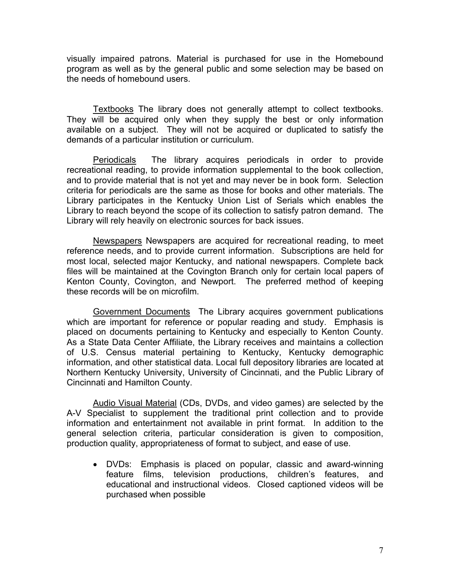visually impaired patrons. Material is purchased for use in the Homebound program as well as by the general public and some selection may be based on the needs of homebound users.

Textbooks The library does not generally attempt to collect textbooks. They will be acquired only when they supply the best or only information available on a subject. They will not be acquired or duplicated to satisfy the demands of a particular institution or curriculum.

Periodicals The library acquires periodicals in order to provide recreational reading, to provide information supplemental to the book collection, and to provide material that is not yet and may never be in book form. Selection criteria for periodicals are the same as those for books and other materials. The Library participates in the Kentucky Union List of Serials which enables the Library to reach beyond the scope of its collection to satisfy patron demand. The Library will rely heavily on electronic sources for back issues.

Newspapers Newspapers are acquired for recreational reading, to meet reference needs, and to provide current information. Subscriptions are held for most local, selected major Kentucky, and national newspapers. Complete back files will be maintained at the Covington Branch only for certain local papers of Kenton County, Covington, and Newport. The preferred method of keeping these records will be on microfilm.

Government Documents The Library acquires government publications which are important for reference or popular reading and study. Emphasis is placed on documents pertaining to Kentucky and especially to Kenton County. As a State Data Center Affiliate, the Library receives and maintains a collection of U.S. Census material pertaining to Kentucky, Kentucky demographic information, and other statistical data. Local full depository libraries are located at Northern Kentucky University, University of Cincinnati, and the Public Library of Cincinnati and Hamilton County.

Audio Visual Material (CDs, DVDs, and video games) are selected by the A-V Specialist to supplement the traditional print collection and to provide information and entertainment not available in print format. In addition to the general selection criteria, particular consideration is given to composition, production quality, appropriateness of format to subject, and ease of use.

• DVDs: Emphasis is placed on popular, classic and award-winning feature films, television productions, children's features, and educational and instructional videos. Closed captioned videos will be purchased when possible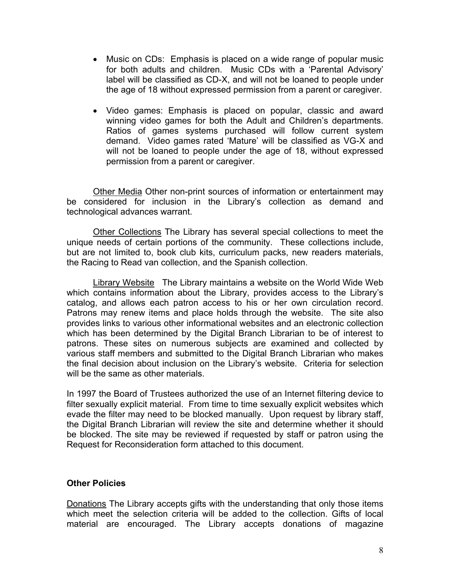- Music on CDs: Emphasis is placed on a wide range of popular music for both adults and children. Music CDs with a 'Parental Advisory' label will be classified as CD-X, and will not be loaned to people under the age of 18 without expressed permission from a parent or caregiver.
- Video games: Emphasis is placed on popular, classic and award winning video games for both the Adult and Children's departments. Ratios of games systems purchased will follow current system demand. Video games rated 'Mature' will be classified as VG-X and will not be loaned to people under the age of 18, without expressed permission from a parent or caregiver.

Other Media Other non-print sources of information or entertainment may be considered for inclusion in the Library's collection as demand and technological advances warrant.

Other Collections The Library has several special collections to meet the unique needs of certain portions of the community. These collections include, but are not limited to, book club kits, curriculum packs, new readers materials, the Racing to Read van collection, and the Spanish collection.

Library Website The Library maintains a website on the World Wide Web which contains information about the Library, provides access to the Library's catalog, and allows each patron access to his or her own circulation record. Patrons may renew items and place holds through the website. The site also provides links to various other informational websites and an electronic collection which has been determined by the Digital Branch Librarian to be of interest to patrons. These sites on numerous subjects are examined and collected by various staff members and submitted to the Digital Branch Librarian who makes the final decision about inclusion on the Library's website. Criteria for selection will be the same as other materials.

In 1997 the Board of Trustees authorized the use of an Internet filtering device to filter sexually explicit material. From time to time sexually explicit websites which evade the filter may need to be blocked manually. Upon request by library staff, the Digital Branch Librarian will review the site and determine whether it should be blocked. The site may be reviewed if requested by staff or patron using the Request for Reconsideration form attached to this document.

## **Other Policies**

Donations The Library accepts gifts with the understanding that only those items which meet the selection criteria will be added to the collection. Gifts of local material are encouraged. The Library accepts donations of magazine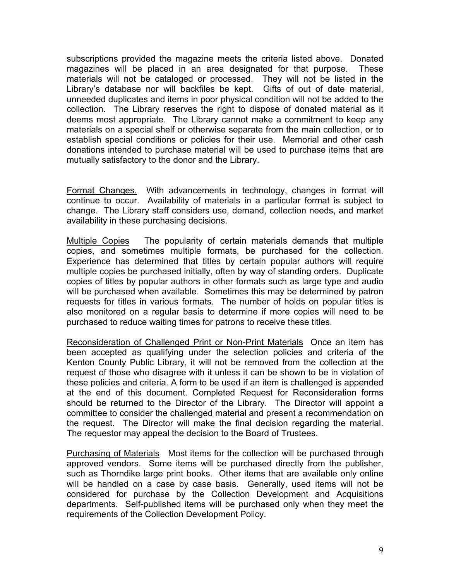subscriptions provided the magazine meets the criteria listed above. Donated magazines will be placed in an area designated for that purpose. These materials will not be cataloged or processed. They will not be listed in the Library's database nor will backfiles be kept. Gifts of out of date material, unneeded duplicates and items in poor physical condition will not be added to the collection. The Library reserves the right to dispose of donated material as it deems most appropriate. The Library cannot make a commitment to keep any materials on a special shelf or otherwise separate from the main collection, or to establish special conditions or policies for their use. Memorial and other cash donations intended to purchase material will be used to purchase items that are mutually satisfactory to the donor and the Library.

Format Changes. With advancements in technology, changes in format will continue to occur. Availability of materials in a particular format is subject to change. The Library staff considers use, demand, collection needs, and market availability in these purchasing decisions.

Multiple Copies The popularity of certain materials demands that multiple copies, and sometimes multiple formats, be purchased for the collection. Experience has determined that titles by certain popular authors will require multiple copies be purchased initially, often by way of standing orders. Duplicate copies of titles by popular authors in other formats such as large type and audio will be purchased when available. Sometimes this may be determined by patron requests for titles in various formats. The number of holds on popular titles is also monitored on a regular basis to determine if more copies will need to be purchased to reduce waiting times for patrons to receive these titles.

Reconsideration of Challenged Print or Non-Print Materials Once an item has been accepted as qualifying under the selection policies and criteria of the Kenton County Public Library, it will not be removed from the collection at the request of those who disagree with it unless it can be shown to be in violation of these policies and criteria. A form to be used if an item is challenged is appended at the end of this document. Completed Request for Reconsideration forms should be returned to the Director of the Library. The Director will appoint a committee to consider the challenged material and present a recommendation on the request. The Director will make the final decision regarding the material. The requestor may appeal the decision to the Board of Trustees.

Purchasing of Materials Most items for the collection will be purchased through approved vendors. Some items will be purchased directly from the publisher, such as Thorndike large print books. Other items that are available only online will be handled on a case by case basis. Generally, used items will not be considered for purchase by the Collection Development and Acquisitions departments. Self-published items will be purchased only when they meet the requirements of the Collection Development Policy.